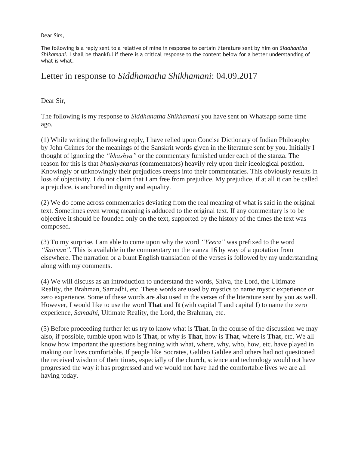Dear Sirs,

The following is a reply sent to a relative of mine in response to certain literature sent by him on *Siddhantha Shikamani*. I shall be thankful if there is a critical response to the content below for a better understanding of what is what.

## Letter in response to *Siddhamatha Shikhamani*: 04.09.2017

Dear Sir,

The following is my response to *Siddhanatha Shikhamani* you have sent on Whatsapp some time ago.

(1) While writing the following reply, I have relied upon Concise Dictionary of Indian Philosophy by John Grimes for the meanings of the Sanskrit words given in the literature sent by you. Initially I thought of ignoring the *"bhashya"* or the commentary furnished under each of the stanza. The reason for this is that *bhashyakaras* (commentators) heavily rely upon their ideological position. Knowingly or unknowingly their prejudices creeps into their commentaries. This obviously results in loss of objectivity. I do not claim that I am free from prejudice. My prejudice, if at all it can be called a prejudice, is anchored in dignity and equality.

(2) We do come across commentaries deviating from the real meaning of what is said in the original text. Sometimes even wrong meaning is adduced to the original text. If any commentary is to be objective it should be founded only on the text, supported by the history of the times the text was composed.

(3) To my surprise, I am able to come upon why the word *"Veera"* was prefixed to the word *"Saivism".* This is available in the commentary on the stanza 16 by way of a quotation from elsewhere. The narration or a blunt English translation of the verses is followed by my understanding along with my comments.

(4) We will discuss as an introduction to understand the words, Shiva, the Lord, the Ultimate Reality, the Brahman, Samadhi, etc. These words are used by mystics to name mystic experience or zero experience. Some of these words are also used in the verses of the literature sent by you as well. However, I would like to use the word **That** and **It** (with capital T and capital I) to name the zero experience, *Samadhi*, Ultimate Reality, the Lord, the Brahman, etc.

(5) Before proceeding further let us try to know what is **That**. In the course of the discussion we may also, if possible, tumble upon who is **That**, or why is **That**, how is **That**, where is **That**, etc. We all know how important the questions beginning with what, where, why, who, how, etc. have played in making our lives comfortable. If people like Socrates, Galileo Galilee and others had not questioned the received wisdom of their times, especially of the church, science and technology would not have progressed the way it has progressed and we would not have had the comfortable lives we are all having today.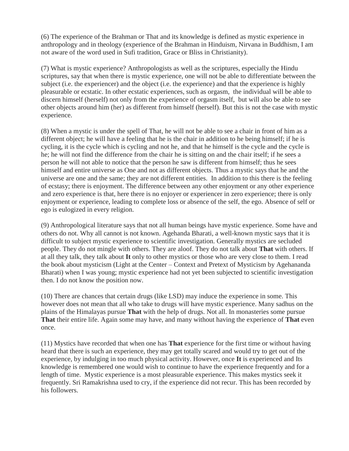(6) The experience of the Brahman or That and its knowledge is defined as mystic experience in anthropology and in theology (experience of the Brahman in Hinduism, Nirvana in Buddhism, I am not aware of the word used in Sufi tradition, Grace or Bliss in Christianity).

(7) What is mystic experience? Anthropologists as well as the scriptures, especially the Hindu scriptures, say that when there is mystic experience, one will not be able to differentiate between the subject (i.e. the experiencer) and the object (i.e. the experience) and that the experience is highly pleasurable or ecstatic. In other ecstatic experiences, such as orgasm, the individual will be able to discern himself (herself) not only from the experience of orgasm itself, but will also be able to see other objects around him (her) as different from himself (herself). But this is not the case with mystic experience.

(8) When a mystic is under the spell of That, he will not be able to see a chair in front of him as a different object; he will have a feeling that he is the chair in addition to he being himself; if he is cycling, it is the cycle which is cycling and not he, and that he himself is the cycle and the cycle is he; he will not find the difference from the chair he is sitting on and the chair itself; if he sees a person he will not able to notice that the person he saw is different from himself; thus he sees himself and entire universe as One and not as different objects. Thus a mystic says that he and the universe are one and the same; they are not different entities. In addition to this there is the feeling of ecstasy; there is enjoyment. The difference between any other enjoyment or any other experience and zero experience is that, here there is no enjoyer or experiencer in zero experience; there is only enjoyment or experience, leading to complete loss or absence of the self, the ego. Absence of self or ego is eulogized in every religion.

(9) Anthropological literature says that not all human beings have mystic experience. Some have and others do not. Why all cannot is not known. Agehanda Bharati, a well-known mystic says that it is difficult to subject mystic experience to scientific investigation. Generally mystics are secluded people. They do not mingle with others. They are aloof. They do not talk about **That** with others. If at all they talk, they talk about **It** only to other mystics or those who are very close to them. I read the book about mysticism (Light at the Center – Context and Pretext of Mysticism by Agehananda Bharati) when I was young; mystic experience had not yet been subjected to scientific investigation then. I do not know the position now.

(10) There are chances that certain drugs (like LSD) may induce the experience in some. This however does not mean that all who take to drugs will have mystic experience. Many sadhus on the plains of the Himalayas pursue **That** with the help of drugs. Not all. In monasteries some pursue **That** their entire life. Again some may have, and many without having the experience of **That** even once.

(11) Mystics have recorded that when one has **That** experience for the first time or without having heard that there is such an experience, they may get totally scared and would try to get out of the experience, by indulging in too much physical activity. However, once **It** is experienced and Its knowledge is remembered one would wish to continue to have the experience frequently and for a length of time. Mystic experience is a most pleasurable experience. This makes mystics seek it frequently. Sri Ramakrishna used to cry, if the experience did not recur. This has been recorded by his followers.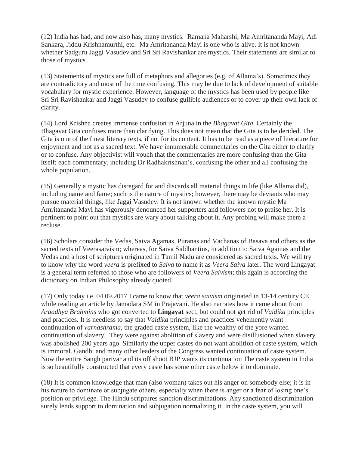(12) India has had, and now also has, many mystics. Ramana Maharshi, Ma Amritananda Mayi, Adi Sankara, Jiddu Krishnamurthi, etc. Ma Amritananda Mayi is one who is alive. It is not known whether Sadguru Jaggi Vasudev and Sri Sri Ravishankar are mystics. Their statements are similar to those of mystics.

(13) Statements of mystics are full of metaphors and allegories (e.g. of Allama's). Sometimes they are contradictory and most of the time confusing. This may be due to lack of development of suitable vocabulary for mystic experience. However, language of the mystics has been used by people like Sri Sri Ravishankar and Jaggi Vasudev to confuse gullible audiences or to cover up their own lack of clarity.

(14) Lord Krishna creates immense confusion in Arjuna in the *Bhagavat Gita*. Certainly the Bhagavat Gita confuses more than clarifying. This does not mean that the Gita is to be derided. The Gita is one of the finest literary texts, if not for its content. It has to be read as a piece of literature for enjoyment and not as a sacred text. We have innumerable commentaries on the Gita either to clarify or to confuse. Any objectivist will vouch that the commentaries are more confusing than the Gita itself; each commentary, including Dr Radhakrishnan's, confusing the other and all confusing the whole population.

(15) Generally a mystic has disregard for and discards all material things in life (like Allama did), including name and fame; such is the nature of mystics; however, there may be deviants who may pursue material things, like Jaggi Vasudev. It is not known whether the known mystic Ma Amritananda Mayi has vigorously denounced her supporters and followers not to praise her. It is pertinent to point out that mystics are wary about talking about it. Any probing will make them a recluse.

(16) Scholars consider the Vedas, Saiva Agamas, Puranas and Vachanas of Basava and others as the sacred texts of Veerasaivism; whereas, for Saiva Siddhantins, in addition to Saiva Agamas and the Vedas and a host of scriptures originated in Tamil Nadu are considered as sacred texts. We will try to know why the word *veera* is prefixed to *Saiva* to name it as *Veera Saiva* later. The word Lingayat is a general term referred to those who are followers of *Veera Saivism*; this again is according the dictionary on Indian Philosophy already quoted.

(17) Only today i.e. 04.09.2017 I came to know that *veera saivism* originated in 13-14 century CE while reading an article by Jamadara SM in Prajavani. He also narrates how it came about from *Araadhya Brahmins* who got converted to **Lingayat** sect, but could not get rid of *Vaidika* principles and practices. It is needless to say that *Vaidika* principles and practices vehemently want continuation of *varnashrama*, the graded caste system, like the wealthy of the yore wanted continuation of slavery. They were against abolition of slavery and were disillusioned when slavery was abolished 200 years ago. Similarly the upper castes do not want abolition of caste system, which is immoral. Gandhi and many other leaders of the Congress wanted continuation of caste system. Now the entire Sangh parivar and its off shoot BJP wants its continuation The caste system in India is so beautifully constructed that every caste has some other caste below it to dominate.

(18) It is common knowledge that man (also woman) takes out his anger on somebody else; it is in his nature to dominate or subjugate others, especially when there is anger or a fear of losing one's position or privilege. The Hindu scriptures sanction discriminations. Any sanctioned discrimination surely lends support to domination and subjugation normalizing it. In the caste system, you will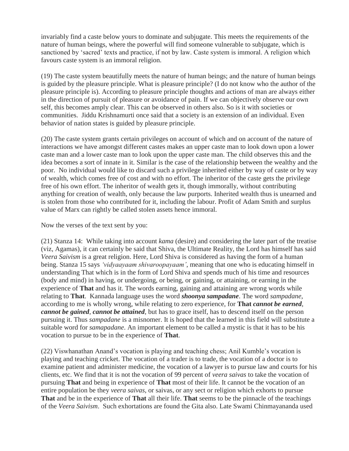invariably find a caste below yours to dominate and subjugate. This meets the requirements of the nature of human beings, where the powerful will find someone vulnerable to subjugate, which is sanctioned by 'sacred' texts and practice, if not by law. Caste system is immoral. A religion which favours caste system is an immoral religion.

(19) The caste system beautifully meets the nature of human beings; and the nature of human beings is guided by the pleasure principle. What is pleasure principle? (I do not know who the author of the pleasure principle is). According to pleasure principle thoughts and actions of man are always either in the direction of pursuit of pleasure or avoidance of pain. If we can objectively observe our own self, this becomes amply clear. This can be observed in others also. So is it with societies or communities. Jiddu Krishnamurti once said that a society is an extension of an individual. Even behavior of nation states is guided by pleasure principle.

(20) The caste system grants certain privileges on account of which and on account of the nature of interactions we have amongst different castes makes an upper caste man to look down upon a lower caste man and a lower caste man to look upon the upper caste man. The child observes this and the idea becomes a sort of innate in it. Similar is the case of the relationship between the wealthy and the poor. No individual would like to discard such a privilege inherited either by way of caste or by way of wealth, which comes free of cost and with no effort. The inheritor of the caste gets the privilege free of his own effort. The inheritor of wealth gets it, though immorally, without contributing anything for creation of wealth, only because the law purports. Inherited wealth thus is unearned and is stolen from those who contributed for it, including the labour. Profit of Adam Smith and surplus value of Marx can rightly be called stolen assets hence immoral.

Now the verses of the text sent by you:

(21) Stanza 14: While taking into account *kama* (desire) and considering the later part of the treatise (viz, Agamas), it can certainly be said that Shiva, the Ultimate Reality, the Lord has himself has said *Veera Saivism* is a great religion. Here, Lord Shiva is considered as having the form of a human being. Stanza 15 says *"vidyaayaam shivaroopayaam"*, meaning that one who is educating himself in understanding That which is in the form of Lord Shiva and spends much of his time and resources (body and mind) in having, or undergoing, or being, or gaining, or attaining, or earning in the experience of **That** and has it. The words earning, gaining and attaining are wrong words while relating to **That**. Kannada language uses the word *shoonya sampadane*. The word *sampadane*, according to me is wholly wrong, while relating to zero experience, for **That** *cannot be earned*, *cannot be gained*, *cannot be attained*, but has to grace itself, has to descend itself on the person pursuing it. Thus *sampadane* is a misnomer. It is hoped that the learned in this field will substitute a suitable word for *samapadane*. An important element to be called a mystic is that it has to be his vocation to pursue to be in the experience of **That**.

(22) Viswhanathan Anand's vocation is playing and teaching chess; Anil Kumble's vocation is playing and teaching cricket. The vocation of a trader is to trade, the vocation of a doctor is to examine patient and administer medicine, the vocation of a lawyer is to pursue law and courts for his clients, etc. We find that it is not the vocation of 99 percent of *veera saivas* to take the vocation of pursuing **That** and being in experience of **That** most of their life. It cannot be the vocation of an entire population be they *veera saivas*, or saivas, or any sect or religion which exhorts to pursue **That** and be in the experience of **That** all their life. **That** seems to be the pinnacle of the teachings of the *Veera Saivism*. Such exhortations are found the Gita also. Late Swami Chinmayananda used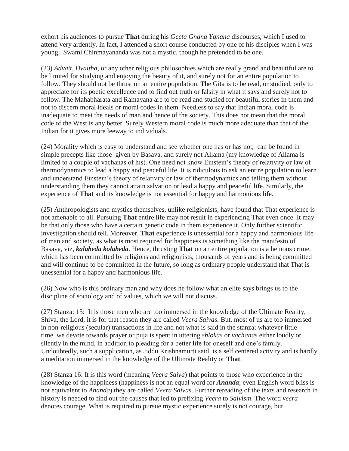exhort his audiences to pursue **That** during his *Geeta Gnana Ygnana* discourses, which I used to attend very ardently. In fact, I attended a short course conducted by one of his disciples when I was young. Swami Chinmayananda was not a mystic, though he pretended to be one.

(23) *Advait, Dvaitha*, or any other religious philosophies which are really grand and beautiful are to be limited for studying and enjoying the beauty of it, and surely not for an entire population to follow. They should not be thrust on an entire population. The Gita is to be read, or studied, only to appreciate for its poetic excellence and to find out truth or falsity in what it says and surely not to follow. The Mahabharata and Ramayana are to be read and studied for beautiful stories in them and not to discern moral ideals or moral codes in them. Needless to say that Indian moral code is inadequate to meet the needs of man and hence of the society. This does not mean that the moral code of the West is any better. Surely Western moral code is much more adequate than that of the Indian for it gives more leeway to individuals.

(24) Morality which is easy to understand and see whether one has or has not, can be found in simple precepts like those given by Basava, and surely not Allama (my knowledge of Allama is limited to a couple of vachanas of his). One need not know Einstein's theory of relativity or law of thermodynamics to lead a happy and peaceful life. It is ridiculous to ask an entire population to learn and understand Einstein's theory of relativity or law of thermodynamics and telling them without understanding them they cannot attain salvation or lead a happy and peaceful life. Similarly, the experience of **That** and its knowledge is not essential for happy and harmonious life.

(25) Anthropologists and mystics themselves, unlike religionists, have found that That experience is not amenable to all. Pursuing **That** entire life may not result in experiencing That even once. It may be that only those who have a certain genetic code in them experience it. Only further scientific investigation should tell. Moreover, **That** experience is unessential for a happy and harmonious life of man and society, as what is most required for happiness is something like the manifesto of Basava, viz, *kalabeda kolabeda*. Hence, thrusting **That** on an entire population is a heinous crime, which has been committed by religions and religionists, thousands of years and is being committed and will continue to be committed in the future, so long as ordinary people understand that That is unessential for a happy and harmonious life.

(26) Now who is this ordinary man and why does he follow what an elite says brings us to the discipline of sociology and of values, which we will not discuss.

(27) Stanza: 15: It is those men who are too immersed in the knowledge of the Ultimate Reality, Shiva, the Lord, it is for that reason they are called *Veera Saivas*. But, most of us are too immersed in non-religious (secular) transactions in life and not what is said in the stanza; whatever little time we devote towards prayer or puja is spent in uttering *shlokas* or *vachanas* either loudly or silently in the mind, in addition to pleading for a better life for oneself and one's family. Undoubtedly, such a supplication, as Jiddu Krishnamurti said, is a self centered activity and is hardly a meditation immersed in the knowledge of the Ultimate Reality or **That**.

(28) Stanza 16: It is this word (meaning *Veera Saiva*) that points to those who experience in the knowledge of the happiness (happiness is not an equal word for *Ananda*; even English word bliss is not equivalent to *Ananda*) they are called *Veera Saivas*. Further rereading of the texts and research in history is needed to find out the causes that led to prefixing *Veera* to *Saivism*. The word *veera* denotes courage. What is required to pursue mystic experience surely is not courage, but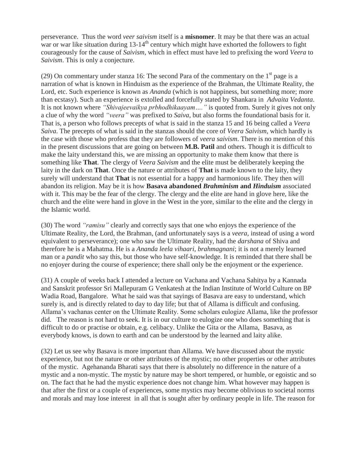perseverance. Thus the word *veer saivism* itself is a **misnomer**. It may be that there was an actual war or war like situation during 13-14<sup>th</sup> century which might have exhorted the followers to fight courageously for the cause of *Saivism*, which in effect must have led to prefixing the word *Veera* to *Saivism*. This is only a conjecture.

(29) On commentary under stanza 16: The second Para of the commentary on the  $1<sup>st</sup>$  page is a narration of what is known in Hinduism as the experience of the Brahman, the Ultimate Reality, the Lord, etc. Such experience is known as *Ananda* (which is not happiness, but something more; more than ecstasy). Such an experience is extolled and forcefully stated by Shankara in *Advaita Vedanta*. It is not known where *"Shivajeevaikya prbhodhikaayam…."* is quoted from. Surely it gives not only a clue of why the word *"veera"* was prefixed to *Saiva*, but also forms the foundational basis for it. That is, a person who follows precepts of what is said in the stanza 15 and 16 being called a *Veera Saiva*. The precepts of what is said in the stanzas should the core of *Veera Saivism*, which hardly is the case with those who profess that they are followers of *veera saivism*. There is no mention of this in the present discussions that are going on between **M.B. Patil** and others. Though it is difficult to make the laity understand this, we are missing an opportunity to make them know that there is something like **That**. The clergy of *Veera Saivism* and the elite must be deliberately keeping the laity in the dark on **That**. Once the nature or attributes of **That** is made known to the laity, they surely will understand that **That** is not essential for a happy and harmonious life. They then will abandon its religion. May be it is how **Basava abandoned** *Brahminism* **and** *Hinduism* associated with it. This may be the fear of the clergy. The clergy and the elite are hand in glove here, like the church and the elite were hand in glove in the West in the yore, similar to the elite and the clergy in the Islamic world.

(30) The word *"ramisu"* clearly and correctly says that one who enjoys the experience of the Ultimate Reality, the Lord, the Brahman, (and unfortunately says is a *veera*, instead of using a word equivalent to perseverance); one who saw the Ultimate Reality, had the *darshana* of Shiva and therefore he is a Mahatma. He is a *Ananda leela vihaari, brahmagnani*; it is not a merely learned man or a *pandit* who say this, but those who have self-knowledge. It is reminded that there shall be no enjoyer during the course of experience; there shall only be the enjoyment or the experience.

(31) A couple of weeks back I attended a lecture on Vachana and Vachana Sahitya by a Kannada and Sanskrit professor Sri Mallepuram G Venkatesh at the Indian Institute of World Culture on BP Wadia Road, Bangalore. What he said was that sayings of Basava are easy to understand, which surely is, and is directly related to day to day life; but that of Allama is difficult and confusing. Allama's vachanas center on the Ultimate Reality. Some scholars eulogize Allama, like the professor did. The reason is not hard to seek. It is in our culture to eulogize one who does something that is difficult to do or practise or obtain, e.g. celibacy. Unlike the Gita or the Allama, Basava, as everybody knows, is down to earth and can be understood by the learned and laity alike.

(32) Let us see why Basava is more important than Allama. We have discussed about the mystic experience, but not the nature or other attributes of the mystic; no other properties or other attributes of the mystic. Agehananda Bharati says that there is absolutely no difference in the nature of a mystic and a non-mystic. The mystic by nature may be short tempered, or humble, or egoistic and so on. The fact that he had the mystic experience does not change him. What however may happen is that after the first or a couple of experiences, some mystics may become oblivious to societal norms and morals and may lose interest in all that is sought after by ordinary people in life. The reason for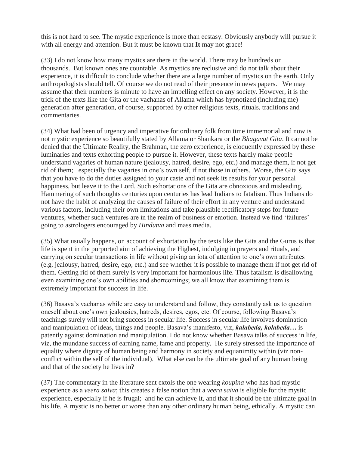this is not hard to see. The mystic experience is more than ecstasy. Obviously anybody will pursue it with all energy and attention. But it must be known that **It** may not grace!

(33) I do not know how many mystics are there in the world. There may be hundreds or thousands. But known ones are countable. As mystics are reclusive and do not talk about their experience, it is difficult to conclude whether there are a large number of mystics on the earth. Only anthropologists should tell. Of course we do not read of their presence in news papers. We may assume that their numbers is minute to have an impelling effect on any society. However, it is the trick of the texts like the Gita or the vachanas of Allama which has hypnotized (including me) generation after generation, of course, supported by other religious texts, rituals, traditions and commentaries.

(34) What had been of urgency and imperative for ordinary folk from time immemorial and now is not mystic experience so beautifully stated by Allama or Shankara or the *Bhagavat Gita*. It cannot be denied that the Ultimate Reality, the Brahman, the zero experience, is eloquently expressed by these luminaries and texts exhorting people to pursue it. However, these texts hardly make people understand vagaries of human nature (jealousy, hatred, desire, ego, etc.) and manage them, if not get rid of them; especially the vagaries in one's own self, if not those in others. Worse, the Gita says that you have to do the duties assigned to your caste and not seek its results for your personal happiness, but leave it to the Lord. Such exhortations of the Gita are obnoxious and misleading. Hammering of such thoughts centuries upon centuries has lead Indians to fatalism. Thus Indians do not have the habit of analyzing the causes of failure of their effort in any venture and understand various factors, including their own limitations and take plausible rectificatory steps for future ventures, whether such ventures are in the realm of business or emotion. Instead we find 'failures' going to astrologers encouraged by *Hindutva* and mass media.

(35) What usually happens, on account of exhortation by the texts like the Gita and the Gurus is that life is spent in the purported aim of achieving the Highest, indulging in prayers and rituals, and carrying on secular transactions in life without giving an iota of attention to one's own attributes (e.g. jealousy, hatred, desire, ego, etc.) and see whether it is possible to manage them if not get rid of them. Getting rid of them surely is very important for harmonious life. Thus fatalism is disallowing even examining one's own abilities and shortcomings; we all know that examining them is extremely important for success in life.

(36) Basava's vachanas while are easy to understand and follow, they constantly ask us to question oneself about one's own jealousies, hatreds, desires, egos, etc. Of course, following Basava's teachings surely will not bring success in secular life. Success in secular life involves domination and manipulation of ideas, things and people. Basava's manifesto, viz, *kalabeda, kolabeda…* is patently against domination and manipulation. I do not know whether Basava talks of success in life, viz, the mundane success of earning name, fame and property. He surely stressed the importance of equality where dignity of human being and harmony in society and equanimity within (viz nonconflict within the self of the individual). What else can be the ultimate goal of any human being and that of the society he lives in?

(37) The commentary in the literature sent extols the one wearing *koupina* who has had mystic experience as a *veera saiva*; this creates a false notion that a *veera saiva* is eligible for the mystic experience, especially if he is frugal; and he can achieve It, and that it should be the ultimate goal in his life. A mystic is no better or worse than any other ordinary human being, ethically. A mystic can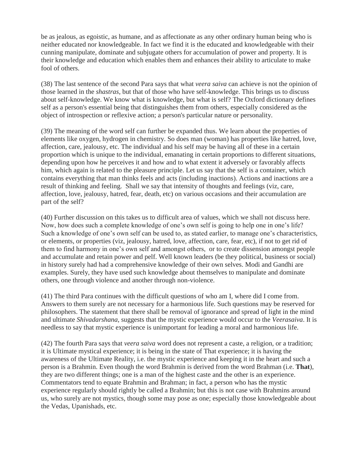be as jealous, as egoistic, as humane, and as affectionate as any other ordinary human being who is neither educated nor knowledgeable. In fact we find it is the educated and knowledgeable with their cunning manipulate, dominate and subjugate others for accumulation of power and property. It is their knowledge and education which enables them and enhances their ability to articulate to make fool of others.

(38) The last sentence of the second Para says that what *veera saiva* can achieve is not the opinion of those learned in the *shastras*, but that of those who have self-knowledge. This brings us to discuss about self-knowledge. We know what is knowledge, but what is self? The Oxford dictionary defines self as a person's essential being that distinguishes them from others, especially considered as the object of introspection or reflexive action; a person's particular nature or personality.

(39) The meaning of the word self can further be expanded thus. We learn about the properties of elements like oxygen, hydrogen in chemistry. So does man (woman) has properties like hatred, love, affection, care, jealousy, etc. The individual and his self may be having all of these in a certain proportion which is unique to the individual, emanating in certain proportions to different situations, depending upon how he perceives it and how and to what extent it adversely or favorably affects him, which again is related to the pleasure principle. Let us say that the self is a container, which contains everything that man thinks feels and acts (including inactions). Actions and inactions are a result of thinking and feeling. Shall we say that intensity of thoughts and feelings (viz, care, affection, love, jealousy, hatred, fear, death, etc) on various occasions and their accumulation are part of the self?

(40) Further discussion on this takes us to difficult area of values, which we shall not discuss here. Now, how does such a complete knowledge of one's own self is going to help one in one's life? Such a knowledge of one's own self can be used to, as stated earlier, to manage one's characteristics, or elements, or properties (viz, jealousy, hatred, love, affection, care, fear, etc), if not to get rid of them to find harmony in one's own self and amongst others, or to create dissension amongst people and accumulate and retain power and pelf. Well known leaders (be they political, business or social) in history surely had had a comprehensive knowledge of their own selves. Modi and Gandhi are examples. Surely, they have used such knowledge about themselves to manipulate and dominate others, one through violence and another through non-violence.

(41) The third Para continues with the difficult questions of who am I, where did I come from. Answers to them surely are not necessary for a harmonious life. Such questions may be reserved for philosophers. The statement that there shall be removal of ignorance and spread of light in the mind and ultimate *Shivadarshana*, suggests that the mystic experience would occur to the *Veerasaiva*. It is needless to say that mystic experience is unimportant for leading a moral and harmonious life.

(42) The fourth Para says that *veera saiva* word does not represent a caste, a religion, or a tradition; it is Ultimate mystical experience; it is being in the state of That experience; it is having the awareness of the Ultimate Reality, i.e. the mystic experience and keeping it in the heart and such a person is a Brahmin. Even though the word Brahmin is derived from the word Brahman (i.e. **That**), they are two different things; one is a man of the highest caste and the other is an experience. Commentators tend to equate Brahmin and Brahman; in fact, a person who has the mystic experience regularly should rightly be called a Brahmin; but this is not case with Brahmins around us, who surely are not mystics, though some may pose as one; especially those knowledgeable about the Vedas, Upanishads, etc.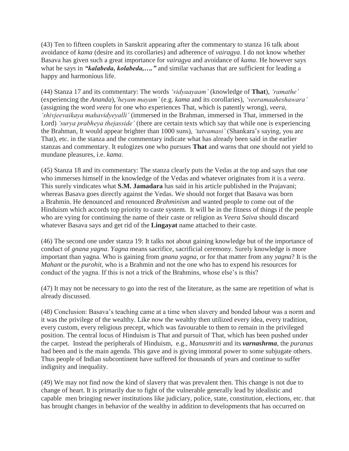(43) Ten to fifteen couplets in Sanskrit appearing after the commentary to stanza 16 talk about avoidance of *kama* (desire and its corollaries) and adherence of *vairagya*. I do not know whether Basava has given such a great importance for *vairagya* and avoidance of *kama*. He however says what he says in *"kalabeda, kolabeda,…."* and similar vachanas that are sufficient for leading a happy and harmonious life.

(44) Stanza 17 and its commentary: The words *"vidyaayaam"* (knowledge of **That**), *"ramathe"* (experiencing the *Ananda*),*"heyam mayam"* (e.g. *kama* and its corollaries), *"veeramaaheshawara"* (assigning the word *veera* for one who experiences That, which is patently wrong), *veera*, *"shivjeevaikaya mahavidyeyalli"* (immersed in the Brahman, immersed in That, immersed in the Lord) *"surya prabheya thejasside"* (there are certain texts which say that while one is experiencing the Brahman, It would appear brighter than 1000 suns), *"tatvamasi"* (Shankara's saying, you are That), etc. in the stanza and the commentary indicate what has already been said in the earlier stanzas and commentary. It eulogizes one who pursues **That** and warns that one should not yield to mundane pleasures, i.e. *kama*.

(45) Stanza 18 and its commentary: The stanza clearly puts the Vedas at the top and says that one who immerses himself in the knowledge of the Vedas and whatever originates from it is a *veera*. This surely vindicates what **S.M. Jamadara** has said in his article published in the Prajavani; whereas Basava goes directly against the Vedas. We should not forget that Basava was born a Brahmin. He denounced and renounced *Brahminism* and wanted people to come out of the Hinduism which accords top priority to caste system. It will be in the fitness of things if the people who are vying for continuing the name of their caste or religion as *Veera Saiva* should discard whatever Basava says and get rid of the **Lingayat** name attached to their caste.

(46) The second one under stanza 19: It talks not about gaining knowledge but of the importance of conduct of *gnana yagna*. *Yagna* means sacrifice, sacrificial ceremony. Surely knowledge is more important than yagna. Who is gaining from *gnana yagna*, or for that matter from any *yagna*? It is the *Mahant* or the *purohit*, who is a Brahmin and not the one who has to expend his resources for conduct of the yagna. If this is not a trick of the Brahmins, whose else's is this?

(47) It may not be necessary to go into the rest of the literature, as the same are repetition of what is already discussed.

(48) Conclusion: Basava's teaching came at a time when slavery and bonded labour was a norm and it was the privilege of the wealthy. Like now the wealthy then utilized every idea, every tradition, every custom, every religious precept, which was favourable to them to remain in the privileged position. The central locus of Hinduism is That and pursuit of That, which has been pushed under the carpet. Instead the peripherals of Hinduism, e.g., *Manusmriti* and its *varnashrma*, the *puranas* had been and is the main agenda. This gave and is giving immoral power to some subjugate others. Thus people of Indian subcontinent have suffered for thousands of years and continue to suffer indignity and inequality.

(49) We may not find now the kind of slavery that was prevalent then. This change is not due to change of heart. It is primarily due to fight of the vulnerable generally lead by idealistic and capable men bringing newer institutions like judiciary, police, state, constitution, elections, etc. that has brought changes in behavior of the wealthy in addition to developments that has occurred on